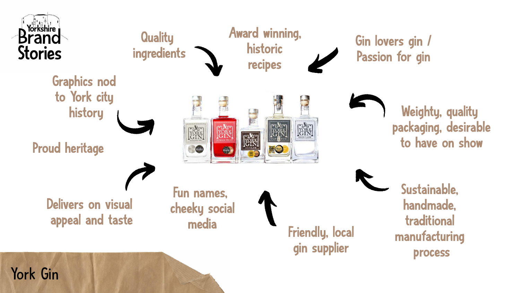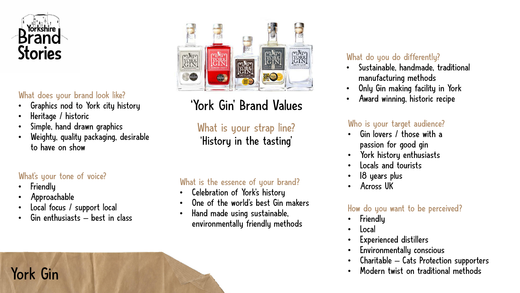

#### What does your brand look like?

- Graphics nod to York city history
- Heritage / historic
- Simple, hand drawn graphics
- Weighty, quality packaging, desirable to have on show

#### What's your tone of voice?

- **Friendly**
- Approachable
- Local focus / support local
- Gin enthusiasts  $-$  best in class



## 'York Gin ' Brand Values

What is your strap line? 'History in the tasting '

#### What is the essence of your brand?

- Celebration of York's history
- One of the world's best Gin makers
- Hand made using sustainable, environmentally friendly methods

#### What do you do differently?

- Sustainable, handmade, traditional manufacturing methods
- Only Gin making facility in York
- Award winning, historic recipe

#### Who is your target audience?

- Gin lovers / those with a passion for good gin
- York history enthusiasts
- Locals and tourists
- 18 years plus
- Across UK

#### How do you want to be perceived?

- **Friendly**
- Local
- Experienced distillers
- Environmentally conscious
- Charitable  $-$  Cats Protection supporters
- Modern twist on traditional methods

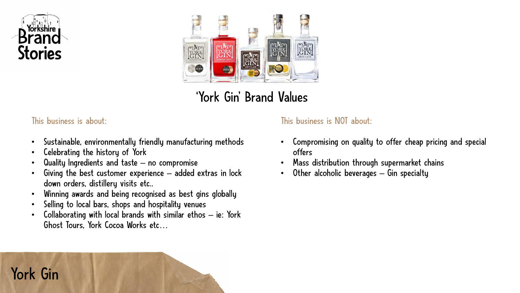



### 'York Gin ' Brand Values

#### This business is about:

- Sustainable, environmentally friendly manufacturing methods
- Celebrating the history of York
- Quality Ingredients and taste no compromise
- Giving the best customer experience added extras in lock down orders, distillery visits etc..
- Winning awards and being recognised as best gins globally
- Selling to local bars, shops and hospitality venues
- Collaborating with local brands with similar ethos ie: York Ghost Tours, York Cocoa Works etc…

#### This business is NOT about:

- Compromising on quality to offer cheap pricing and special offers
- Mass distribution through supermarket chains
- Other alcoholic beverages  $-$  Gin specialty

## York Gin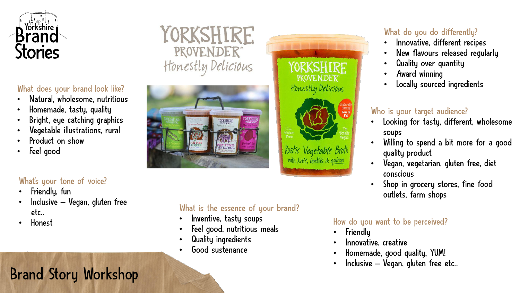

#### What does your brand look like?

- Natural, wholesome, nutritious
- Homemade, tasty, quality
- Bright, eye catching graphics
- Vegetable illustrations, rural
- Product on show
- Feel good

#### What's your tone of voice?

- Friendly, fun
- $l$ nclusive Vegan, gluten free etc..
- 

### YORKSHIRE PROVENDER® Honestly Delicious



#### What is the essence of your brand?

- Inventive, tasty soups
- Feel good, nutritious meals
- Quality ingredients
- Good sustenance

# **YORKSHIRE** PROVENDER<sup>®</sup> Honestly Delicious



Rustic Vegetable Broti with kale, lentils & quinoa

#### What do you do differently?

- Innovative, different recipes
- New flavours released regularly
- Quality over quantity
- Award winning
- Locally sourced ingredients

#### Who is your target audience?

- Looking for tasty, different, wholesome soups
- Willing to spend a bit more for a good quality product
- Vegan, vegetarian, gluten free, diet conscious
- Shop in grocery stores, fine food outlets, farm shops

#### Honest **Honest Example 19 Figure 10** How do you want to be perceived?

- **Friendly**
- Innovative, creative
- Homemade, good quality, YUM!
- Inclusive Vegan, gluten free etc..

## Brand Story Workshop